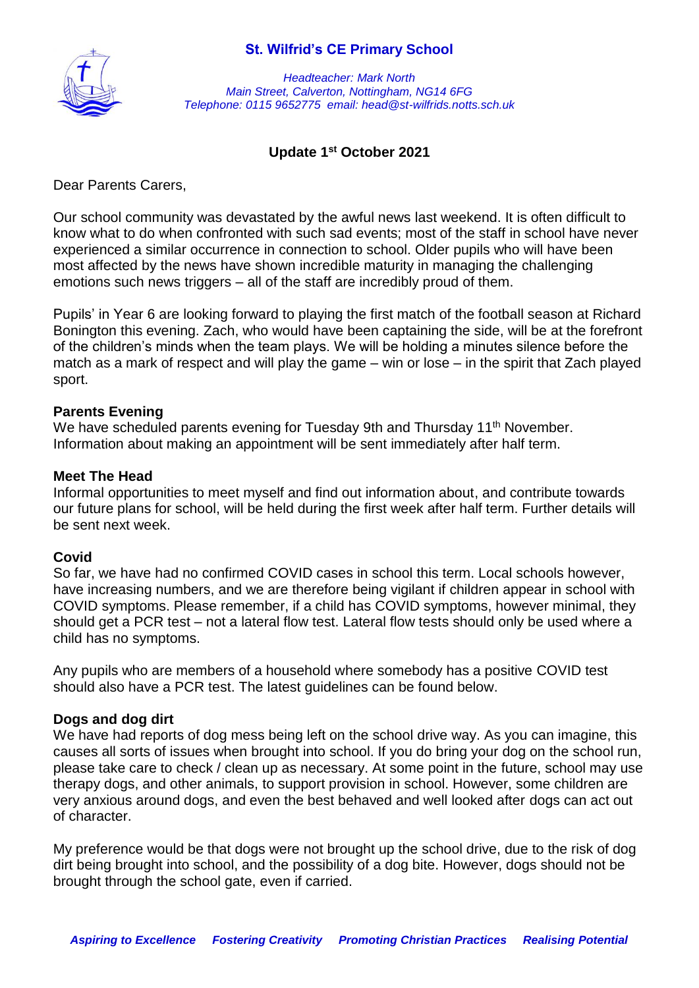

*Headteacher: Mark North Main Street, Calverton, Nottingham, NG14 6FG Telephone: 0115 9652775 email: head@st-wilfrids.notts.sch.uk*

### **Update 1st October 2021**

Dear Parents Carers,

Our school community was devastated by the awful news last weekend. It is often difficult to know what to do when confronted with such sad events; most of the staff in school have never experienced a similar occurrence in connection to school. Older pupils who will have been most affected by the news have shown incredible maturity in managing the challenging emotions such news triggers – all of the staff are incredibly proud of them.

Pupils' in Year 6 are looking forward to playing the first match of the football season at Richard Bonington this evening. Zach, who would have been captaining the side, will be at the forefront of the children's minds when the team plays. We will be holding a minutes silence before the match as a mark of respect and will play the game – win or lose – in the spirit that Zach played sport.

### **Parents Evening**

We have scheduled parents evening for Tuesday 9th and Thursday 11<sup>th</sup> November. Information about making an appointment will be sent immediately after half term.

### **Meet The Head**

Informal opportunities to meet myself and find out information about, and contribute towards our future plans for school, will be held during the first week after half term. Further details will be sent next week.

### **Covid**

So far, we have had no confirmed COVID cases in school this term. Local schools however, have increasing numbers, and we are therefore being vigilant if children appear in school with COVID symptoms. Please remember, if a child has COVID symptoms, however minimal, they should get a PCR test – not a lateral flow test. Lateral flow tests should only be used where a child has no symptoms.

Any pupils who are members of a household where somebody has a positive COVID test should also have a PCR test. The latest guidelines can be found below.

### **Dogs and dog dirt**

We have had reports of dog mess being left on the school drive way. As you can imagine, this causes all sorts of issues when brought into school. If you do bring your dog on the school run, please take care to check / clean up as necessary. At some point in the future, school may use therapy dogs, and other animals, to support provision in school. However, some children are very anxious around dogs, and even the best behaved and well looked after dogs can act out of character.

My preference would be that dogs were not brought up the school drive, due to the risk of dog dirt being brought into school, and the possibility of a dog bite. However, dogs should not be brought through the school gate, even if carried.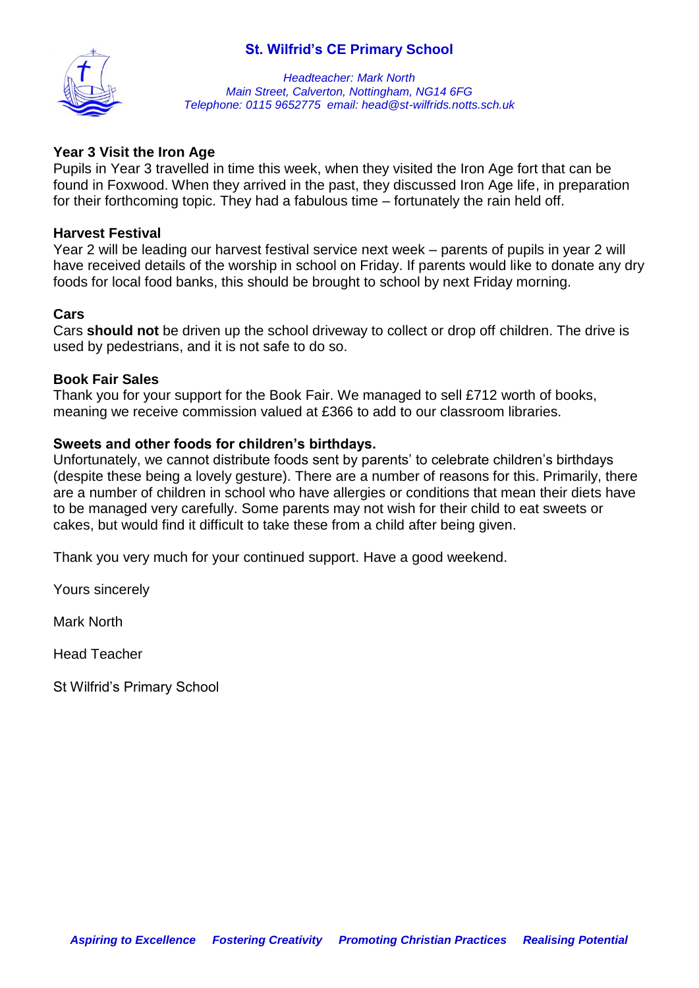

*Headteacher: Mark North Main Street, Calverton, Nottingham, NG14 6FG Telephone: 0115 9652775 email: head@st-wilfrids.notts.sch.uk*

### **Year 3 Visit the Iron Age**

Pupils in Year 3 travelled in time this week, when they visited the Iron Age fort that can be found in Foxwood. When they arrived in the past, they discussed Iron Age life, in preparation for their forthcoming topic. They had a fabulous time – fortunately the rain held off.

### **Harvest Festival**

Year 2 will be leading our harvest festival service next week – parents of pupils in year 2 will have received details of the worship in school on Friday. If parents would like to donate any dry foods for local food banks, this should be brought to school by next Friday morning.

### **Cars**

Cars **should not** be driven up the school driveway to collect or drop off children. The drive is used by pedestrians, and it is not safe to do so.

### **Book Fair Sales**

Thank you for your support for the Book Fair. We managed to sell £712 worth of books, meaning we receive commission valued at £366 to add to our classroom libraries.

### **Sweets and other foods for children's birthdays.**

Unfortunately, we cannot distribute foods sent by parents' to celebrate children's birthdays (despite these being a lovely gesture). There are a number of reasons for this. Primarily, there are a number of children in school who have allergies or conditions that mean their diets have to be managed very carefully. Some parents may not wish for their child to eat sweets or cakes, but would find it difficult to take these from a child after being given.

Thank you very much for your continued support. Have a good weekend.

Yours sincerely

Mark North

Head Teacher

St Wilfrid's Primary School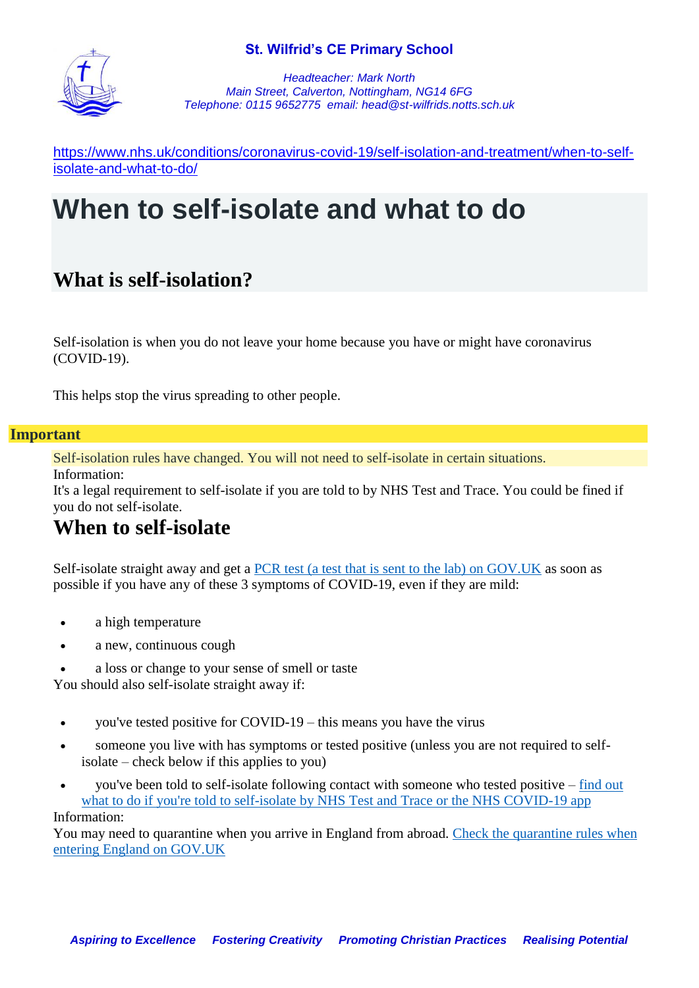

*Headteacher: Mark North Main Street, Calverton, Nottingham, NG14 6FG Telephone: 0115 9652775 email: head@st-wilfrids.notts.sch.uk*

[https://www.nhs.uk/conditions/coronavirus-covid-19/self-isolation-and-treatment/when-to-self](https://www.nhs.uk/conditions/coronavirus-covid-19/self-isolation-and-treatment/when-to-self-isolate-and-what-to-do/)[isolate-and-what-to-do/](https://www.nhs.uk/conditions/coronavirus-covid-19/self-isolation-and-treatment/when-to-self-isolate-and-what-to-do/)

# **When to self-isolate and what to do**

## **What is self-isolation?**

Self-isolation is when you do not leave your home because you have or might have coronavirus (COVID-19).

This helps stop the virus spreading to other people.

### **Important**

Self-isolation rules have changed. You will not need to self-isolate in certain situations. Information:

It's a legal requirement to self-isolate if you are told to by NHS Test and Trace. You could be fined if you do not self-isolate.

### **When to self-isolate**

Self-isolate straight away and get a [PCR test \(a test that is sent to the lab\) on GOV.UK](https://www.gov.uk/get-coronavirus-test) as soon as possible if you have any of these 3 symptoms of COVID-19, even if they are mild:

- a high temperature
- a new, continuous cough
- a loss or change to your sense of smell or taste

You should also self-isolate straight away if:

- you've tested positive for COVID-19 this means you have the virus
- someone you live with has symptoms or tested positive (unless you are not required to selfisolate – check below if this applies to you)
- you've been told to self-isolate following contact with someone who tested positive [find out](https://www.nhs.uk/conditions/coronavirus-covid-19/self-isolation-and-treatment/if-youre-told-to-self-isolate-by-nhs-test-and-trace-or-the-covid-19-app/)  [what to do if you're told to self-isolate by NHS Test and Trace or the NHS COVID-19 app](https://www.nhs.uk/conditions/coronavirus-covid-19/self-isolation-and-treatment/if-youre-told-to-self-isolate-by-nhs-test-and-trace-or-the-covid-19-app/) Information:

You may need to quarantine when you arrive in England from abroad. [Check the quarantine rules when](https://www.gov.uk/guidance/red-amber-and-green-list-rules-for-entering-england)  [entering England on GOV.UK](https://www.gov.uk/guidance/red-amber-and-green-list-rules-for-entering-england)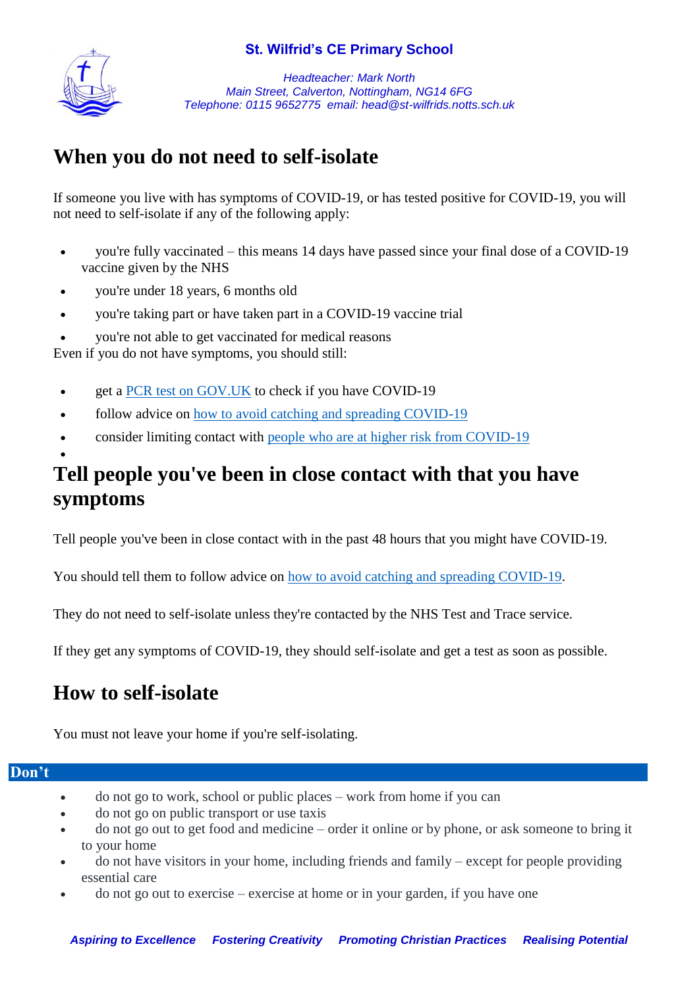

*Headteacher: Mark North Main Street, Calverton, Nottingham, NG14 6FG Telephone: 0115 9652775 email: head@st-wilfrids.notts.sch.uk*

## **When you do not need to self-isolate**

If someone you live with has symptoms of COVID-19, or has tested positive for COVID-19, you will not need to self-isolate if any of the following apply:

- you're fully vaccinated this means 14 days have passed since your final dose of a COVID-19 vaccine given by the NHS
- you're under 18 years, 6 months old
- you're taking part or have taken part in a COVID-19 vaccine trial
- you're not able to get vaccinated for medical reasons

Even if you do not have symptoms, you should still:

- get a [PCR test on GOV.UK](https://www.gov.uk/get-coronavirus-test) to check if you have COVID-19
- follow advice on [how to avoid catching and spreading COVID-19](https://www.nhs.uk/conditions/coronavirus-covid-19/how-to-avoid-catching-and-spreading-coronavirus-covid-19/)
- consider limiting contact with [people who are at higher risk from COVID-19](https://www.nhs.uk/conditions/coronavirus-covid-19/people-at-higher-risk/)

## **Tell people you've been in close contact with that you have symptoms**

Tell people you've been in close contact with in the past 48 hours that you might have COVID-19.

You should tell them to follow advice on [how to avoid catching and spreading COVID-19.](https://www.nhs.uk/conditions/coronavirus-covid-19/how-to-avoid-catching-and-spreading-coronavirus-covid-19/)

They do not need to self-isolate unless they're contacted by the NHS Test and Trace service.

If they get any symptoms of COVID-19, they should self-isolate and get a test as soon as possible.

## **How to self-isolate**

You must not leave your home if you're self-isolating.

### **Don't**

 $\bullet$ 

- do not go to work, school or public places work from home if you can
- do not go on public transport or use taxis
- do not go out to get food and medicine order it online or by phone, or ask someone to bring it to your home
- do not have visitors in your home, including friends and family except for people providing essential care
- do not go out to exercise exercise at home or in your garden, if you have one